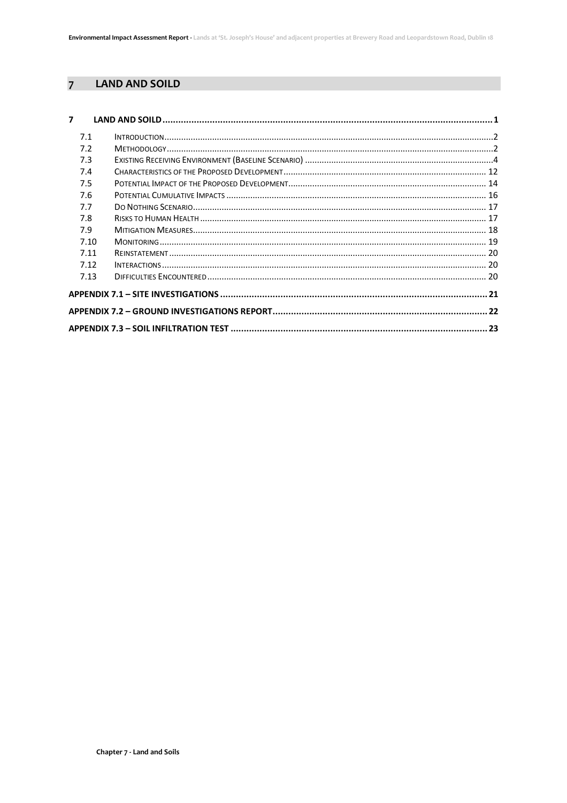#### <span id="page-0-0"></span> $\overline{7}$ **LAND AND SOILD**

| $\overline{7}$ |  |  |  |  |
|----------------|--|--|--|--|
| 7.1            |  |  |  |  |
| 7.2            |  |  |  |  |
| 7.3            |  |  |  |  |
| 7.4            |  |  |  |  |
| 7.5            |  |  |  |  |
| 7.6            |  |  |  |  |
| 7.7            |  |  |  |  |
| 7.8            |  |  |  |  |
| 7.9            |  |  |  |  |
| 7.10           |  |  |  |  |
| 7.11           |  |  |  |  |
| 7.12           |  |  |  |  |
| 7.13           |  |  |  |  |
|                |  |  |  |  |
|                |  |  |  |  |
|                |  |  |  |  |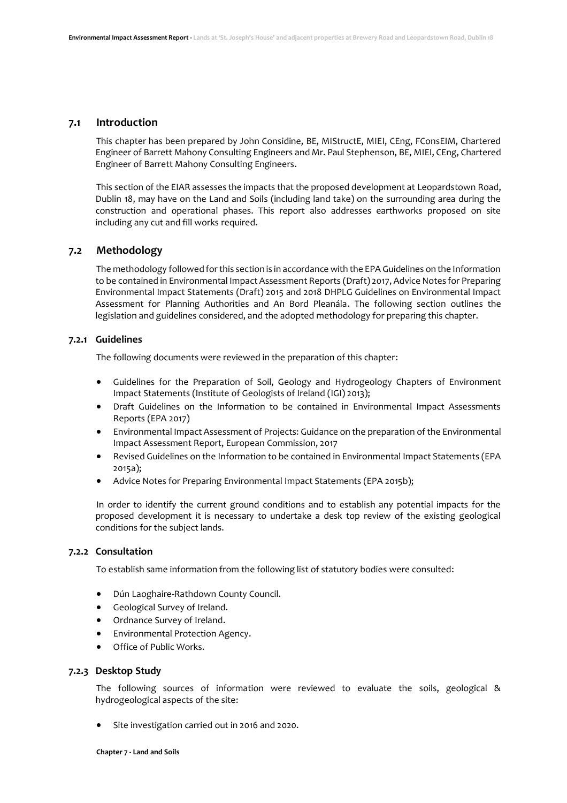### <span id="page-1-0"></span>**7.1 Introduction**

This chapter has been prepared by John Considine, BE, MIStructE, MIEI, CEng, FConsEIM, Chartered Engineer of Barrett Mahony Consulting Engineers and Mr. Paul Stephenson, BE, MIEI, CEng, Chartered Engineer of Barrett Mahony Consulting Engineers.

This section of the EIAR assesses the impacts that the proposed development at Leopardstown Road, Dublin 18, may have on the Land and Soils (including land take) on the surrounding area during the construction and operational phases. This report also addresses earthworks proposed on site including any cut and fill works required.

## <span id="page-1-1"></span>**7.2 Methodology**

The methodology followed for this section is in accordance with the EPA Guidelines on the Information to be contained in Environmental Impact Assessment Reports (Draft) 2017, Advice Notes for Preparing Environmental Impact Statements (Draft) 2015 and 2018 DHPLG Guidelines on Environmental Impact Assessment for Planning Authorities and An Bord Pleanála. The following section outlines the legislation and guidelines considered, and the adopted methodology for preparing this chapter.

#### **7.2.1 Guidelines**

The following documents were reviewed in the preparation of this chapter:

- Guidelines for the Preparation of Soil, Geology and Hydrogeology Chapters of Environment Impact Statements (Institute of Geologists of Ireland (IGI) 2013);
- Draft Guidelines on the Information to be contained in Environmental Impact Assessments Reports (EPA 2017)
- Environmental Impact Assessment of Projects: Guidance on the preparation of the Environmental Impact Assessment Report, European Commission, 2017
- Revised Guidelines on the Information to be contained in Environmental Impact Statements (EPA 2015a);
- Advice Notes for Preparing Environmental Impact Statements (EPA 2015b);

In order to identify the current ground conditions and to establish any potential impacts for the proposed development it is necessary to undertake a desk top review of the existing geological conditions for the subject lands.

## **7.2.2 Consultation**

To establish same information from the following list of statutory bodies were consulted:

- Dún Laoghaire-Rathdown County Council.
- Geological Survey of Ireland.
- Ordnance Survey of Ireland.
- Environmental Protection Agency.
- Office of Public Works.

#### **7.2.3 Desktop Study**

The following sources of information were reviewed to evaluate the soils, geological & hydrogeological aspects of the site:

• Site investigation carried out in 2016 and 2020.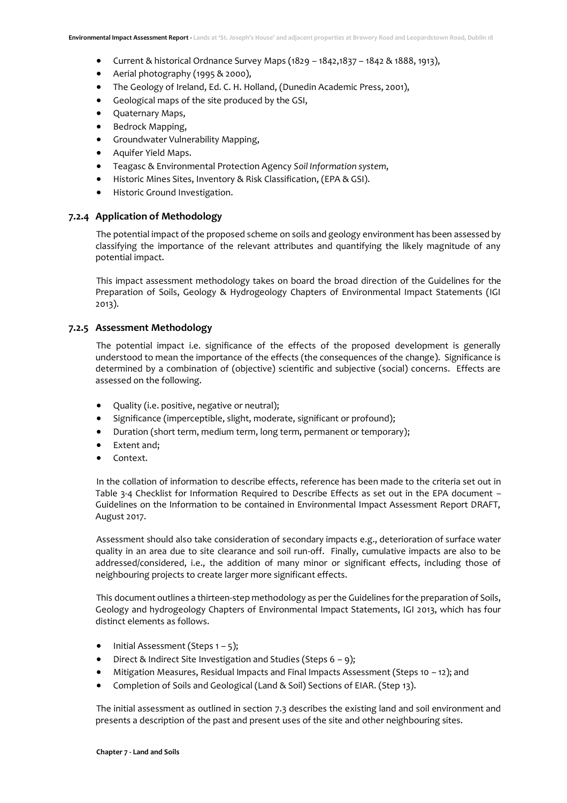- Current & historical Ordnance Survey Maps (1829 1842,1837 1842 & 1888, 1913),
- Aerial photography (1995 & 2000),
- The Geology of Ireland, Ed. C. H. Holland, (Dunedin Academic Press, 2001),
- Geological maps of the site produced by the GSI,
- Quaternary Maps,
- Bedrock Mapping,
- Groundwater Vulnerability Mapping,
- Aquifer Yield Maps.
- Teagasc & Environmental Protection Agency *Soil Information system*,
- Historic Mines Sites, Inventory & Risk Classification, (EPA & GSI).
- Historic Ground Investigation.

#### **7.2.4 Application of Methodology**

The potential impact of the proposed scheme on soils and geology environment has been assessed by classifying the importance of the relevant attributes and quantifying the likely magnitude of any potential impact.

This impact assessment methodology takes on board the broad direction of the Guidelines for the Preparation of Soils, Geology & Hydrogeology Chapters of Environmental Impact Statements (IGI 2013).

## **7.2.5 Assessment Methodology**

The potential impact i.e. significance of the effects of the proposed development is generally understood to mean the importance of the effects (the consequences of the change). Significance is determined by a combination of (objective) scientific and subjective (social) concerns. Effects are assessed on the following.

- Quality (i.e. positive, negative or neutral);
- Significance (imperceptible, slight, moderate, significant or profound);
- Duration (short term, medium term, long term, permanent or temporary);
- Extent and:
- Context.

In the collation of information to describe effects, reference has been made to the criteria set out in Table 3-4 Checklist for Information Required to Describe Effects as set out in the EPA document – Guidelines on the Information to be contained in Environmental Impact Assessment Report DRAFT, August 2017.

Assessment should also take consideration of secondary impacts e.g., deterioration of surface water quality in an area due to site clearance and soil run-off. Finally, cumulative impacts are also to be addressed/considered, i.e., the addition of many minor or significant effects, including those of neighbouring projects to create larger more significant effects.

This document outlines a thirteen-step methodology as per the Guidelines for the preparation of Soils, Geology and hydrogeology Chapters of Environmental Impact Statements, IGI 2013, which has four distinct elements as follows.

- Initial Assessment (Steps  $1 5$ );
- Direct & Indirect Site Investigation and Studies (Steps  $6 9$ );
- Mitigation Measures, Residual Impacts and Final Impacts Assessment (Steps 10 12); and
- Completion of Soils and Geological (Land & Soil) Sections of EIAR. (Step 13).

The initial assessment as outlined in section 7.3 describes the existing land and soil environment and presents a description of the past and present uses of the site and other neighbouring sites.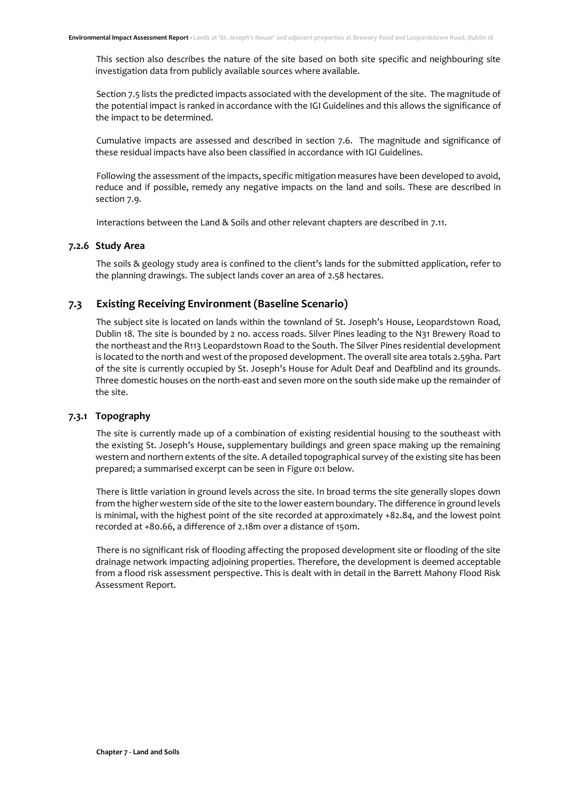This section also describes the nature of the site based on both site specific and neighbouring site investigation data from publicly available sources where available.

Section 7.5 lists the predicted impacts associated with the development of the site. The magnitude of the potential impact is ranked in accordance with the IGI Guidelines and this allows the significance of the impact to be determined.

Cumulative impacts are assessed and described in section 7.6. The magnitude and significance of these residual impacts have also been classified in accordance with IGI Guidelines.

Following the assessment of the impacts, specific mitigation measures have been developed to avoid, reduce and if possible, remedy any negative impacts on the land and soils. These are described in section 7.9.

Interactions between the Land & Soils and other relevant chapters are described in 7.11.

#### **7.2.6 Study Area**

The soils & geology study area is confined to the client's lands for the submitted application, refer to the planning drawings. The subject lands cover an area of 2.58 hectares.

## <span id="page-3-0"></span>**7.3 Existing Receiving Environment (Baseline Scenario)**

The subject site is located on lands within the townland of St. Joseph's House, Leopardstown Road, Dublin 18. The site is bounded by 2 no. access roads. Silver Pines leading to the N31 Brewery Road to the northeast and the R113 Leopardstown Road to the South. The Silver Pines residential development is located to the north and west of the proposed development. The overall site area totals 2.59ha. Part of the site is currently occupied by St. Joseph's House for Adult Deaf and Deafblind and its grounds. Three domestic houses on the north-east and seven more on the south side make up the remainder of the site.

## **7.3.1 Topography**

The site is currently made up of a combination of existing residential housing to the southeast with the existing St. Joseph's House, supplementary buildings and green space making up the remaining western and northern extents of the site. A detailed topographical survey of the existing site has been prepared; a summarised excerpt can be seen in [Figure 0:1](#page-4-0) below.

There is little variation in ground levels across the site. In broad terms the site generally slopes down from the higher western side of the site to the lower eastern boundary. The difference in ground levels is minimal, with the highest point of the site recorded at approximately +82.84, and the lowest point recorded at +80.66, a difference of 2.18m over a distance of 150m.

There is no significant risk of flooding affecting the proposed development site or flooding of the site drainage network impacting adjoining properties. Therefore, the development is deemed acceptable from a flood risk assessment perspective. This is dealt with in detail in the Barrett Mahony Flood Risk Assessment Report.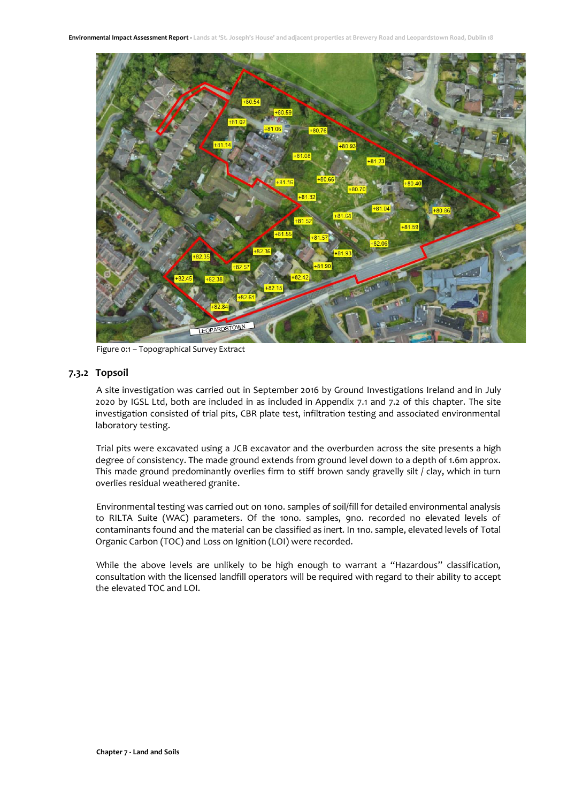

Figure 0:1 – Topographical Survey Extract

## <span id="page-4-0"></span>**7.3.2 Topsoil**

A site investigation was carried out in September 2016 by Ground Investigations Ireland and in July 2020 by IGSL Ltd, both are included in as included in Appendix 7.1 and 7.2 of this chapter. The site investigation consisted of trial pits, CBR plate test, infiltration testing and associated environmental laboratory testing.

Trial pits were excavated using a JCB excavator and the overburden across the site presents a high degree of consistency. The made ground extends from ground level down to a depth of 1.6m approx. This made ground predominantly overlies firm to stiff brown sandy gravelly silt / clay, which in turn overlies residual weathered granite.

Environmental testing was carried out on 10no. samples of soil/fill for detailed environmental analysis to RILTA Suite (WAC) parameters. Of the 10no. samples, 9no. recorded no elevated levels of contaminants found and the material can be classified as inert. In 1no. sample, elevated levels of Total Organic Carbon (TOC) and Loss on Ignition (LOI) were recorded.

While the above levels are unlikely to be high enough to warrant a "Hazardous" classification, consultation with the licensed landfill operators will be required with regard to their ability to accept the elevated TOC and LOI.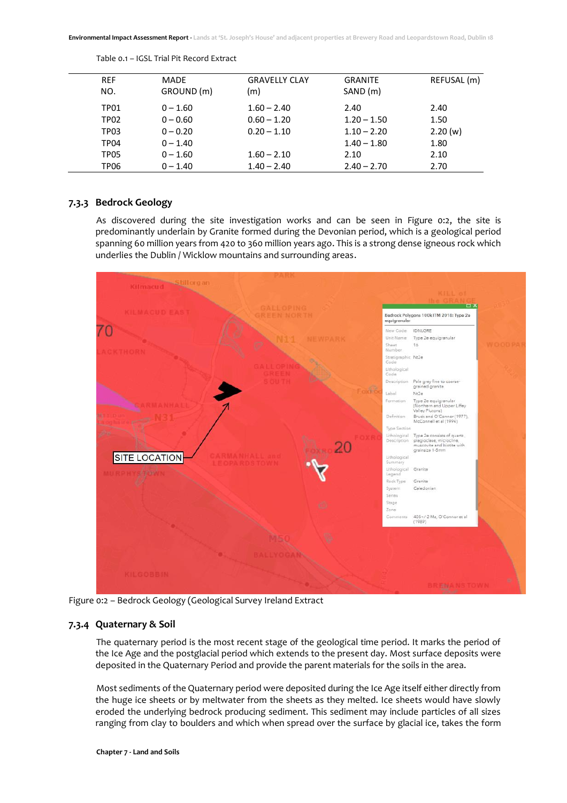| <b>REF</b><br>NO. | <b>MADE</b><br>GROUND (m) | <b>GRAVELLY CLAY</b><br>(m) | <b>GRANITE</b><br>SAND (m) | REFUSAL (m) |
|-------------------|---------------------------|-----------------------------|----------------------------|-------------|
| TP01              | $0 - 1.60$                | $1.60 - 2.40$               | 2.40                       | 2.40        |
| TP02              | $0 - 0.60$                | $0.60 - 1.20$               | $1.20 - 1.50$              | 1.50        |
| TP03              | $0 - 0.20$                | $0.20 - 1.10$               | $1.10 - 2.20$              | 2.20(w)     |
| TP04              | $0 - 1.40$                |                             | $1.40 - 1.80$              | 1.80        |
| TP05              | $0 - 1.60$                | $1.60 - 2.10$               | 2.10                       | 2.10        |
| TP06              | $0 - 1.40$                | $1.40 - 2.40$               | $2.40 - 2.70$              | 2.70        |
|                   |                           |                             |                            |             |

Table 0.1 – IGSL Trial Pit Record Extract

## **7.3.3 Bedrock Geology**

As discovered during the site investigation works and can be seen in [Figure 0:2,](#page-5-0) the site is predominantly underlain by Granite formed during the Devonian period, which is a geological period spanning 60 million years from 420 to 360 million years ago. This is a strong dense igneous rock which underlies the Dublin / Wicklow mountains and surrounding areas.



<span id="page-5-0"></span>Figure 0:2 – Bedrock Geology (Geological Survey Ireland Extract

## **7.3.4 Quaternary & Soil**

The quaternary period is the most recent stage of the geological time period. It marks the period of the Ice Age and the postglacial period which extends to the present day. Most surface deposits were deposited in the Quaternary Period and provide the parent materials for the soils in the area.

Most sediments of the Quaternary period were deposited during the Ice Age itself either directly from the huge ice sheets or by meltwater from the sheets as they melted. Ice sheets would have slowly eroded the underlying bedrock producing sediment. This sediment may include particles of all sizes ranging from clay to boulders and which when spread over the surface by glacial ice, takes the form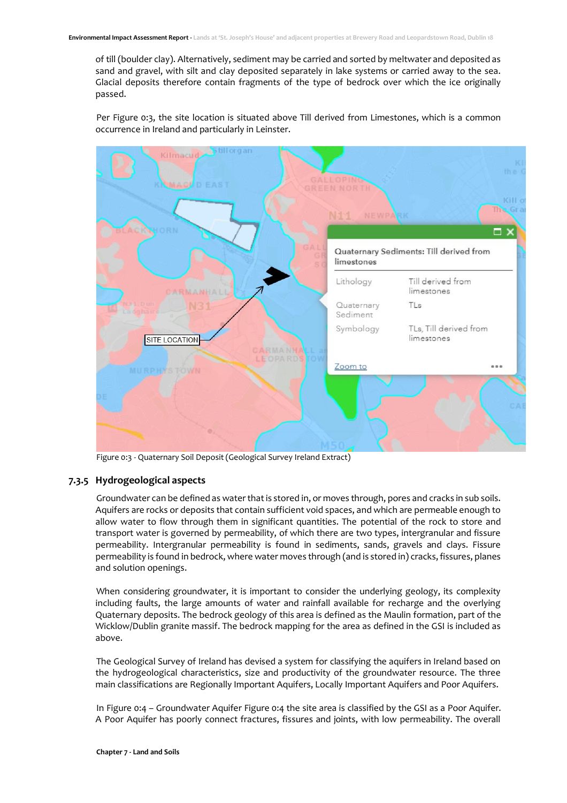of till (boulder clay). Alternatively, sediment may be carried and sorted by meltwater and deposited as sand and gravel, with silt and clay deposited separately in lake systems or carried away to the sea. Glacial deposits therefore contain fragments of the type of bedrock over which the ice originally passed.

Per [Figure 0:3,](#page-6-0) the site location is situated above Till derived from Limestones, which is a common occurrence in Ireland and particularly in Leinster.



Figure 0:3 - Quaternary Soil Deposit (Geological Survey Ireland Extract)

### <span id="page-6-0"></span>**7.3.5 Hydrogeological aspects**

Groundwater can be defined as water that is stored in, or moves through, pores and cracks in sub soils. Aquifers are rocks or deposits that contain sufficient void spaces, and which are permeable enough to allow water to flow through them in significant quantities. The potential of the rock to store and transport water is governed by permeability, of which there are two types, intergranular and fissure permeability. Intergranular permeability is found in sediments, sands, gravels and clays. Fissure permeability is found in bedrock, where water moves through (and is stored in) cracks, fissures, planes and solution openings.

When considering groundwater, it is important to consider the underlying geology, its complexity including faults, the large amounts of water and rainfall available for recharge and the overlying Quaternary deposits. The bedrock geology of this area is defined as the Maulin formation, part of the Wicklow/Dublin granite massif. The bedrock mapping for the area as defined in the GSI is included as above.

The Geological Survey of Ireland has devised a system for classifying the aquifers in Ireland based on the hydrogeological characteristics, size and productivity of the groundwater resource. The three main classifications are Regionally Important Aquifers, Locally Important Aquifers and Poor Aquifers.

In Figure 0:4 – [Groundwater Aquifer](#page-7-0) [Figure 0:4](#page-7-0) the site area is classified by the GSI as a Poor Aquifer. A Poor Aquifer has poorly connect fractures, fissures and joints, with low permeability. The overall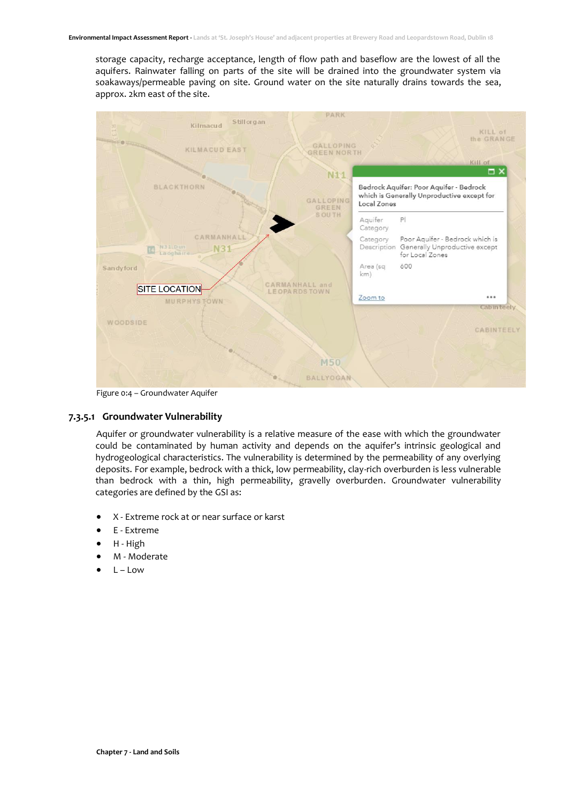storage capacity, recharge acceptance, length of flow path and baseflow are the lowest of all the aquifers. Rainwater falling on parts of the site will be drained into the groundwater system via soakaways/permeable paving on site. Ground water on the site naturally drains towards the sea, approx. 2km east of the site.



Figure 0:4 – Groundwater Aquifer

#### <span id="page-7-0"></span>**7.3.5.1 Groundwater Vulnerability**

Aquifer or groundwater vulnerability is a relative measure of the ease with which the groundwater could be contaminated by human activity and depends on the aquifer's intrinsic geological and hydrogeological characteristics. The vulnerability is determined by the permeability of any overlying deposits. For example, bedrock with a thick, low permeability, clay-rich overburden is less vulnerable than bedrock with a thin, high permeability, gravelly overburden. Groundwater vulnerability categories are defined by the GSI as:

- X Extreme rock at or near surface or karst
- E Extreme
- H High
- M Moderate
- $L Low$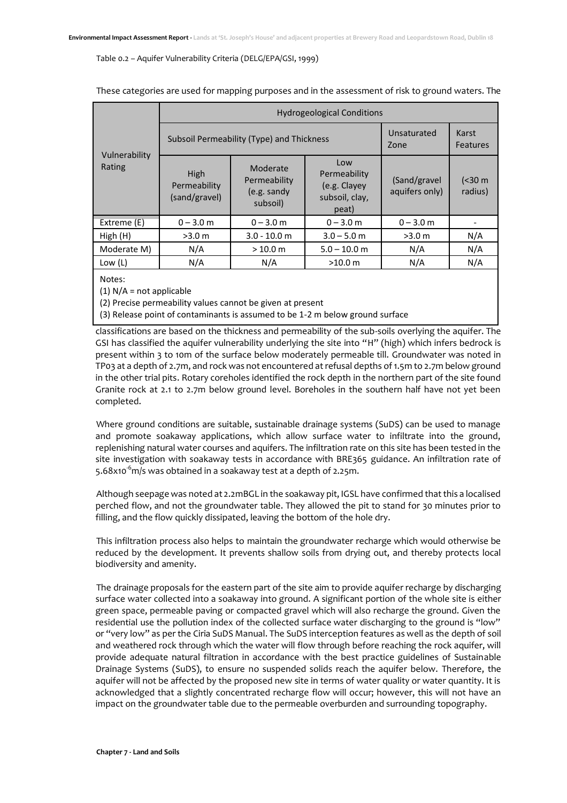#### Table 0.2 – Aquifer Vulnerability Criteria (DELG/EPA/GSI, 1999)

|                         | <b>Hydrogeological Conditions</b>     |                                                     |                                                                |                                 |                    |
|-------------------------|---------------------------------------|-----------------------------------------------------|----------------------------------------------------------------|---------------------------------|--------------------|
|                         |                                       | Subsoil Permeability (Type) and Thickness           | Unsaturated<br>Zone                                            | Karst<br><b>Features</b>        |                    |
| Vulnerability<br>Rating | High<br>Permeability<br>(sand/gravel) | Moderate<br>Permeability<br>(e.g. sandy<br>subsoil) | Low<br>Permeability<br>(e.g. Clayey<br>subsoil, clay,<br>peat) | (Sand/gravel)<br>aquifers only) | (< 30 m<br>radius) |
| Extreme (E)             | $0 - 3.0$ m                           | $0 - 3.0$ m                                         | $0 - 3.0$ m                                                    | $0 - 3.0$ m                     |                    |
| High(H)                 | >3.0 m                                | $3.0 - 10.0$ m                                      | $3.0 - 5.0$ m                                                  | >3.0 m                          | N/A                |
| Moderate M)             | N/A                                   | >10.0 m                                             | $5.0 - 10.0$ m                                                 | N/A                             | N/A                |
| Low (L)                 | N/A                                   | N/A                                                 | >10.0 m                                                        | N/A                             | N/A                |

#### These categories are used for mapping purposes and in the assessment of risk to ground waters. The

Notes:

(1)  $N/A$  = not applicable

(2) Precise permeability values cannot be given at present

(3) Release point of contaminants is assumed to be 1-2 m below ground surface

classifications are based on the thickness and permeability of the sub-soils overlying the aquifer. The GSI has classified the aquifer vulnerability underlying the site into "H" (high) which infers bedrock is present within 3 to 10m of the surface below moderately permeable till. Groundwater was noted in TP03 at a depth of 2.7m, and rock was not encountered at refusal depths of 1.5m to 2.7m below ground in the other trial pits. Rotary coreholes identified the rock depth in the northern part of the site found Granite rock at 2.1 to 2.7m below ground level. Boreholes in the southern half have not yet been completed.

Where ground conditions are suitable, sustainable drainage systems (SuDS) can be used to manage and promote soakaway applications, which allow surface water to infiltrate into the ground, replenishing natural water courses and aquifers. The infiltration rate on this site has been tested in the site investigation with soakaway tests in accordance with BRE365 guidance. An infiltration rate of 5.68x10 $^{\circ}$ m/s was obtained in a soakaway test at a depth of 2.25m.

Although seepage was noted at 2.2mBGL in the soakaway pit, IGSL have confirmed that this a localised perched flow, and not the groundwater table. They allowed the pit to stand for 30 minutes prior to filling, and the flow quickly dissipated, leaving the bottom of the hole dry.

This infiltration process also helps to maintain the groundwater recharge which would otherwise be reduced by the development. It prevents shallow soils from drying out, and thereby protects local biodiversity and amenity.

The drainage proposals for the eastern part of the site aim to provide aquifer recharge by discharging surface water collected into a soakaway into ground. A significant portion of the whole site is either green space, permeable paving or compacted gravel which will also recharge the ground. Given the residential use the pollution index of the collected surface water discharging to the ground is "low" or "very low" as per the Ciria SuDS Manual. The SuDS interception features as well as the depth of soil and weathered rock through which the water will flow through before reaching the rock aquifer, will provide adequate natural filtration in accordance with the best practice guidelines of Sustainable Drainage Systems (SuDS), to ensure no suspended solids reach the aquifer below. Therefore, the aquifer will not be affected by the proposed new site in terms of water quality or water quantity. It is acknowledged that a slightly concentrated recharge flow will occur; however, this will not have an impact on the groundwater table due to the permeable overburden and surrounding topography.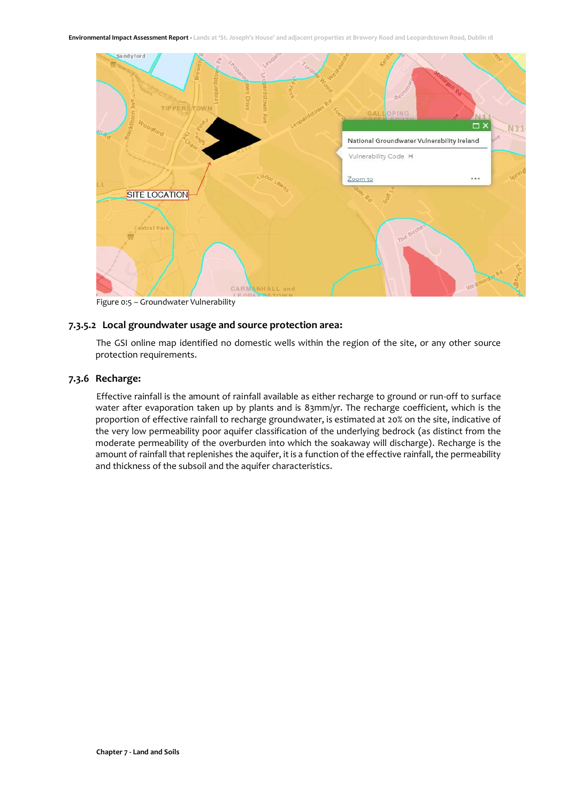

Figure 0:5 – Groundwater Vulnerability

## **7.3.5.2 Local groundwater usage and source protection area:**

The GSI online map identified no domestic wells within the region of the site, or any other source protection requirements.

#### **7.3.6 Recharge:**

Effective rainfall is the amount of rainfall available as either recharge to ground or run-off to surface water after evaporation taken up by plants and is 83mm/yr. The recharge coefficient, which is the proportion of effective rainfall to recharge groundwater, is estimated at 20% on the site, indicative of the very low permeability poor aquifer classification of the underlying bedrock (as distinct from the moderate permeability of the overburden into which the soakaway will discharge). Recharge is the amount of rainfall that replenishes the aquifer, it is a function of the effective rainfall, the permeability and thickness of the subsoil and the aquifer characteristics.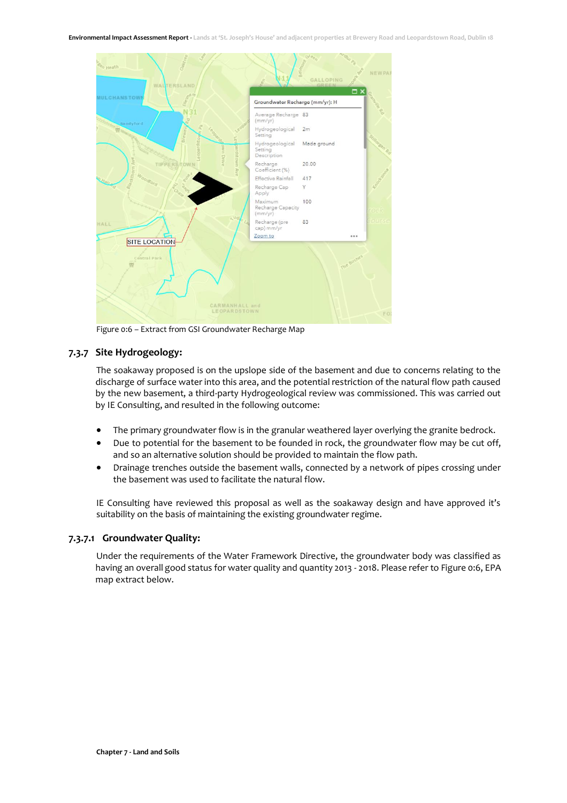**Environmental Impact Assessment Report - Lands at 'St. Joseph's House' and adjacent properties at Brewery Road and Leopardstown Road, Dublin 18**



Figure 0:6 – Extract from GSI Groundwater Recharge Map

## <span id="page-10-0"></span>**7.3.7 Site Hydrogeology:**

The soakaway proposed is on the upslope side of the basement and due to concerns relating to the discharge of surface water into this area, and the potential restriction of the natural flow path caused by the new basement, a third-party Hydrogeological review was commissioned. This was carried out by IE Consulting, and resulted in the following outcome:

- The primary groundwater flow is in the granular weathered layer overlying the granite bedrock.
- Due to potential for the basement to be founded in rock, the groundwater flow may be cut off, and so an alternative solution should be provided to maintain the flow path.
- Drainage trenches outside the basement walls, connected by a network of pipes crossing under the basement was used to facilitate the natural flow.

IE Consulting have reviewed this proposal as well as the soakaway design and have approved it's suitability on the basis of maintaining the existing groundwater regime.

## **7.3.7.1 Groundwater Quality:**

Under the requirements of the Water Framework Directive, the groundwater body was classified as having an overall good status for water quality and quantity 2013 - 2018. Please refer t[o Figure 0:6,](#page-10-0) EPA map extract below.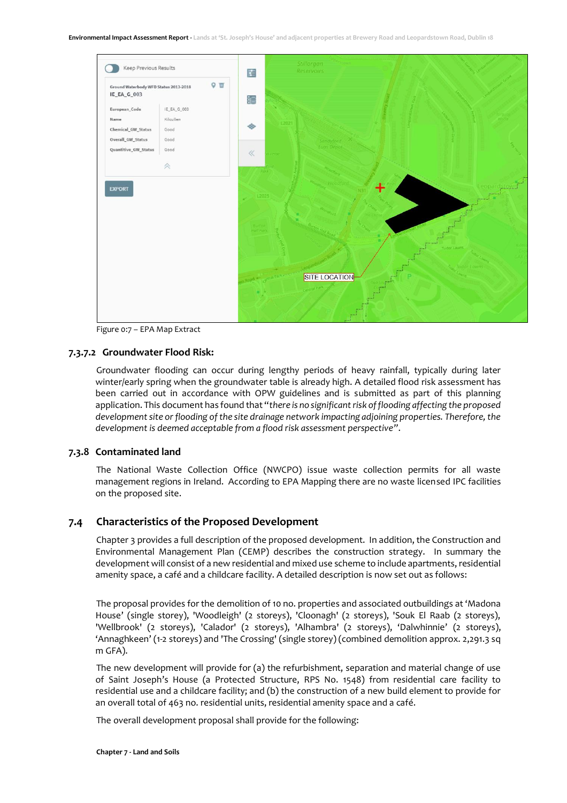

Figure 0:7 – EPA Map Extract

#### **7.3.7.2 Groundwater Flood Risk:**

Groundwater flooding can occur during lengthy periods of heavy rainfall, typically during later winter/early spring when the groundwater table is already high. A detailed flood risk assessment has been carried out in accordance with OPW guidelines and is submitted as part of this planning application. This document has found that "*there is no significant risk of flooding affecting the proposed development site or flooding of the site drainage network impacting adjoining properties. Therefore, the development is deemed acceptable from a flood risk assessment perspective"*.

#### **7.3.8 Contaminated land**

The National Waste Collection Office (NWCPO) issue waste collection permits for all waste management regions in Ireland. According to EPA Mapping there are no waste licensed IPC facilities on the proposed site.

#### <span id="page-11-0"></span>**7.4 Characteristics of the Proposed Development**

Chapter 3 provides a full description of the proposed development. In addition, the Construction and Environmental Management Plan (CEMP) describes the construction strategy. In summary the development will consist of a new residential and mixed use scheme to include apartments, residential amenity space, a café and a childcare facility. A detailed description is now set out as follows:

The proposal provides for the demolition of 10 no. properties and associated outbuildings at 'Madona House' (single storey), 'Woodleigh' (2 storeys), 'Cloonagh' (2 storeys), 'Souk El Raab (2 storeys), 'Wellbrook' (2 storeys), 'Calador' (2 storeys), 'Alhambra' (2 storeys), 'Dalwhinnie' (2 storeys), 'Annaghkeen' (1-2 storeys) and 'The Crossing' (single storey) (combined demolition approx. 2,291.3 sq m GFA).

The new development will provide for (a) the refurbishment, separation and material change of use of Saint Joseph's House (a Protected Structure, RPS No. 1548) from residential care facility to residential use and a childcare facility; and (b) the construction of a new build element to provide for an overall total of 463 no. residential units, residential amenity space and a café.

The overall development proposal shall provide for the following: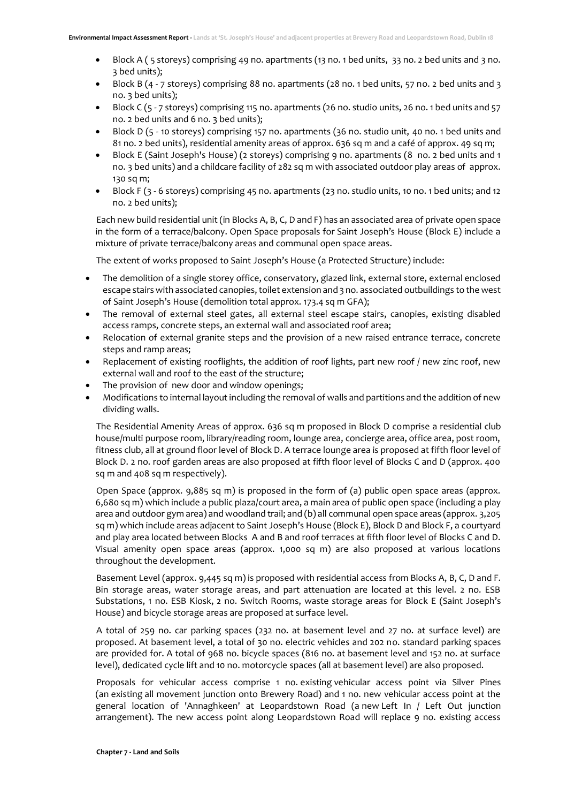- Block A ( 5 storeys) comprising 49 no. apartments (13 no. 1 bed units, 33 no. 2 bed units and 3 no. 3 bed units);
- Block B (4 7 storeys) comprising 88 no. apartments (28 no. 1 bed units, 57 no. 2 bed units and 3 no. 3 bed units);
- Block C (5 7 storeys) comprising 115 no. apartments (26 no. studio units, 26 no. 1 bed units and 57 no. 2 bed units and 6 no. 3 bed units);
- Block D (5 10 storeys) comprising 157 no. apartments (36 no. studio unit, 40 no. 1 bed units and 81 no. 2 bed units), residential amenity areas of approx. 636 sq m and a café of approx. 49 sq m;
- Block E (Saint Joseph's House) (2 storeys) comprising 9 no. apartments (8 no. 2 bed units and 1 no. 3 bed units) and a childcare facility of 282 sq m with associated outdoor play areas of approx. 130 sq m;
- Block F (3 6 storeys) comprising 45 no. apartments (23 no. studio units, 10 no. 1 bed units; and 12 no. 2 bed units);

Each new build residential unit (in Blocks A, B, C, D and F) has an associated area of private open space in the form of a terrace/balcony. Open Space proposals for Saint Joseph's House (Block E) include a mixture of private terrace/balcony areas and communal open space areas.

The extent of works proposed to Saint Joseph's House (a Protected Structure) include:

- The demolition of a single storey office, conservatory, glazed link, external store, external enclosed escape stairs with associated canopies, toilet extension and 3 no. associated outbuildings to the west of Saint Joseph's House (demolition total approx. 173.4 sq m GFA);
- The removal of external steel gates, all external steel escape stairs, canopies, existing disabled access ramps, concrete steps, an external wall and associated roof area;
- Relocation of external granite steps and the provision of a new raised entrance terrace, concrete steps and ramp areas;
- Replacement of existing rooflights, the addition of roof lights, part new roof / new zinc roof, new external wall and roof to the east of the structure;
- The provision of new door and window openings:
- Modifications to internal layout including the removal of walls and partitions and the addition of new dividing walls.

The Residential Amenity Areas of approx. 636 sq m proposed in Block D comprise a residential club house/multi purpose room, library/reading room, lounge area, concierge area, office area, post room, fitness club, all at ground floor level of Block D. A terrace lounge area is proposed at fifth floor level of Block D. 2 no. roof garden areas are also proposed at fifth floor level of Blocks C and D (approx. 400 sq m and 408 sq m respectively).

Open Space (approx. 9,885 sq m) is proposed in the form of (a) public open space areas (approx. 6,680 sq m) which include a public plaza/court area, a main area of public open space (including a play area and outdoor gym area) and woodland trail; and (b) all communal open space areas (approx. 3,205 sq m) which include areas adjacent to Saint Joseph's House (Block E), Block D and Block F, a courtyard and play area located between Blocks A and B and roof terraces at fifth floor level of Blocks C and D. Visual amenity open space areas (approx. 1,000 sq m) are also proposed at various locations throughout the development.

Basement Level (approx. 9,445 sq m) is proposed with residential access from Blocks A, B, C, D and F. Bin storage areas, water storage areas, and part attenuation are located at this level. 2 no. ESB Substations, 1 no. ESB Kiosk, 2 no. Switch Rooms, waste storage areas for Block E (Saint Joseph's House) and bicycle storage areas are proposed at surface level.

A total of 259 no. car parking spaces (232 no. at basement level and 27 no. at surface level) are proposed. At basement level, a total of 30 no. electric vehicles and 202 no. standard parking spaces are provided for. A total of 968 no. bicycle spaces (816 no. at basement level and 152 no. at surface level), dedicated cycle lift and 10 no. motorcycle spaces (all at basement level) are also proposed.

Proposals for vehicular access comprise 1 no. existing vehicular access point via Silver Pines (an existing all movement junction onto Brewery Road) and 1 no. new vehicular access point at the general location of 'Annaghkeen' at Leopardstown Road (a new Left In / Left Out junction arrangement). The new access point along Leopardstown Road will replace 9 no. existing access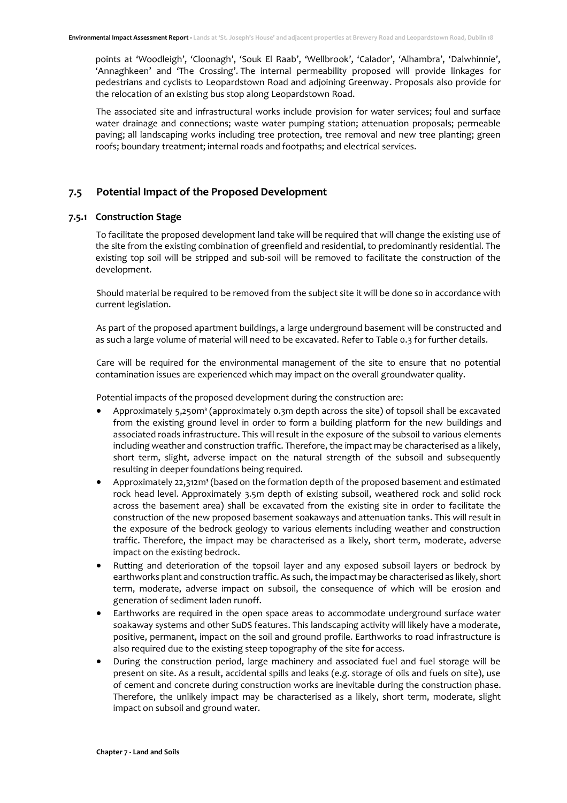points at 'Woodleigh', 'Cloonagh', 'Souk El Raab', 'Wellbrook', 'Calador', 'Alhambra', 'Dalwhinnie', 'Annaghkeen' and 'The Crossing'. The internal permeability proposed will provide linkages for pedestrians and cyclists to Leopardstown Road and adjoining Greenway. Proposals also provide for the relocation of an existing bus stop along Leopardstown Road.

The associated site and infrastructural works include provision for water services; foul and surface water drainage and connections; waste water pumping station; attenuation proposals; permeable paving; all landscaping works including tree protection, tree removal and new tree planting; green roofs; boundary treatment; internal roads and footpaths; and electrical services.

## <span id="page-13-0"></span>**7.5 Potential Impact of the Proposed Development**

#### **7.5.1 Construction Stage**

To facilitate the proposed development land take will be required that will change the existing use of the site from the existing combination of greenfield and residential, to predominantly residential. The existing top soil will be stripped and sub-soil will be removed to facilitate the construction of the development.

Should material be required to be removed from the subject site it will be done so in accordance with current legislation.

As part of the proposed apartment buildings, a large underground basement will be constructed and as such a large volume of material will need to be excavated. Refer t[o Table 0.3](#page-14-0) for further details.

Care will be required for the environmental management of the site to ensure that no potential contamination issues are experienced which may impact on the overall groundwater quality.

Potential impacts of the proposed development during the construction are:

- Approximately 5,250m<sup>3</sup> (approximately 0.3m depth across the site) of topsoil shall be excavated from the existing ground level in order to form a building platform for the new buildings and associated roads infrastructure. This will result in the exposure of the subsoil to various elements including weather and construction traffic. Therefore, the impact may be characterised as a likely, short term, slight, adverse impact on the natural strength of the subsoil and subsequently resulting in deeper foundations being required.
- Approximately 22,312m<sup>3</sup> (based on the formation depth of the proposed basement and estimated rock head level. Approximately 3.5m depth of existing subsoil, weathered rock and solid rock across the basement area) shall be excavated from the existing site in order to facilitate the construction of the new proposed basement soakaways and attenuation tanks. This will result in the exposure of the bedrock geology to various elements including weather and construction traffic. Therefore, the impact may be characterised as a likely, short term, moderate, adverse impact on the existing bedrock.
- Rutting and deterioration of the topsoil layer and any exposed subsoil layers or bedrock by earthworks plant and construction traffic. As such, the impact may be characterised as likely, short term, moderate, adverse impact on subsoil, the consequence of which will be erosion and generation of sediment laden runoff.
- Earthworks are required in the open space areas to accommodate underground surface water soakaway systems and other SuDS features. This landscaping activity will likely have a moderate, positive, permanent, impact on the soil and ground profile. Earthworks to road infrastructure is also required due to the existing steep topography of the site for access.
- During the construction period, large machinery and associated fuel and fuel storage will be present on site. As a result, accidental spills and leaks (e.g. storage of oils and fuels on site), use of cement and concrete during construction works are inevitable during the construction phase. Therefore, the unlikely impact may be characterised as a likely, short term, moderate, slight impact on subsoil and ground water.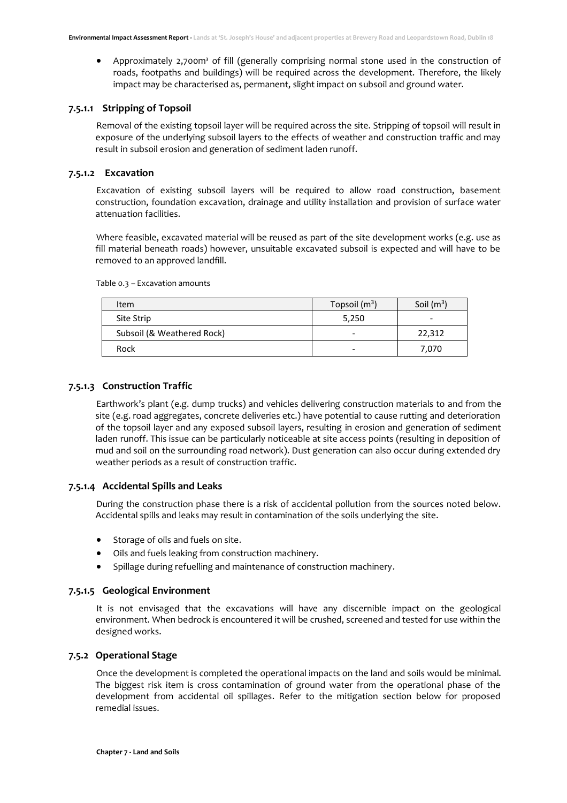• Approximately 2,700m<sup>3</sup> of fill (generally comprising normal stone used in the construction of roads, footpaths and buildings) will be required across the development. Therefore, the likely impact may be characterised as, permanent, slight impact on subsoil and ground water.

#### **7.5.1.1 Stripping of Topsoil**

Removal of the existing topsoil layer will be required across the site. Stripping of topsoil will result in exposure of the underlying subsoil layers to the effects of weather and construction traffic and may result in subsoil erosion and generation of sediment laden runoff.

### **7.5.1.2 Excavation**

Excavation of existing subsoil layers will be required to allow road construction, basement construction, foundation excavation, drainage and utility installation and provision of surface water attenuation facilities.

Where feasible, excavated material will be reused as part of the site development works (e.g. use as fill material beneath roads) however, unsuitable excavated subsoil is expected and will have to be removed to an approved landfill.

| Item                       | Topsoil $(m^3)$ | Soil $(m^3)$ |
|----------------------------|-----------------|--------------|
| Site Strip                 | 5,250           |              |
| Subsoil (& Weathered Rock) |                 | 22,312       |
| Rock                       |                 | 7,070        |

<span id="page-14-0"></span>Table 0.3 – Excavation amounts

## **7.5.1.3 Construction Traffic**

Earthwork's plant (e.g. dump trucks) and vehicles delivering construction materials to and from the site (e.g. road aggregates, concrete deliveries etc.) have potential to cause rutting and deterioration of the topsoil layer and any exposed subsoil layers, resulting in erosion and generation of sediment laden runoff. This issue can be particularly noticeable at site access points (resulting in deposition of mud and soil on the surrounding road network). Dust generation can also occur during extended dry weather periods as a result of construction traffic.

#### **7.5.1.4 Accidental Spills and Leaks**

During the construction phase there is a risk of accidental pollution from the sources noted below. Accidental spills and leaks may result in contamination of the soils underlying the site.

- Storage of oils and fuels on site.
- Oils and fuels leaking from construction machinery.
- Spillage during refuelling and maintenance of construction machinery.

## **7.5.1.5 Geological Environment**

It is not envisaged that the excavations will have any discernible impact on the geological environment. When bedrock is encountered it will be crushed, screened and tested for use within the designed works.

#### **7.5.2 Operational Stage**

Once the development is completed the operational impacts on the land and soils would be minimal. The biggest risk item is cross contamination of ground water from the operational phase of the development from accidental oil spillages. Refer to the mitigation section below for proposed remedial issues.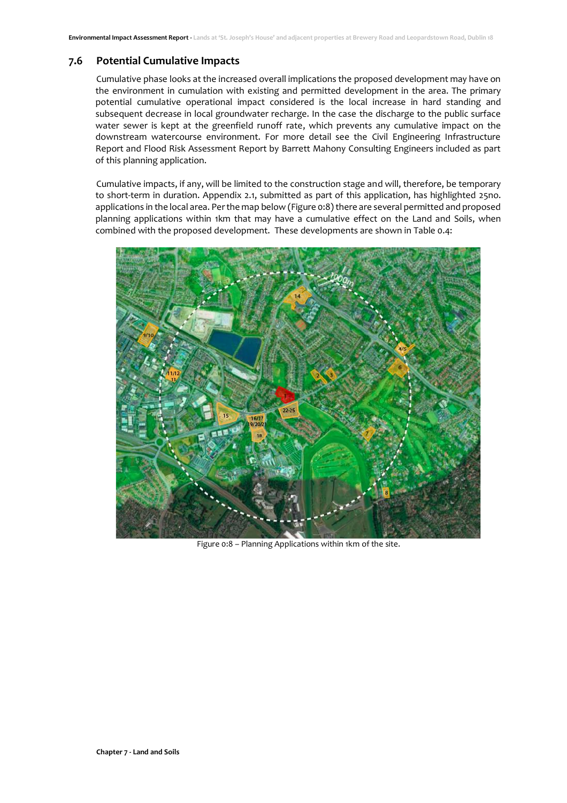## <span id="page-15-0"></span>**7.6 Potential Cumulative Impacts**

Cumulative phase looks at the increased overall implications the proposed development may have on the environment in cumulation with existing and permitted development in the area. The primary potential cumulative operational impact considered is the local increase in hard standing and subsequent decrease in local groundwater recharge. In the case the discharge to the public surface water sewer is kept at the greenfield runoff rate, which prevents any cumulative impact on the downstream watercourse environment. For more detail see the Civil Engineering Infrastructure Report and Flood Risk Assessment Report by Barrett Mahony Consulting Engineers included as part of this planning application.

Cumulative impacts, if any, will be limited to the construction stage and will, therefore, be temporary to short-term in duration. Appendix 2.1, submitted as part of this application, has highlighted 25no. applications in the local area. Per the map below [\(Figure 0:8\)](#page-15-1) there are several permitted and proposed planning applications within 1km that may have a cumulative effect on the Land and Soils, when combined with the proposed development. These developments are shown i[n Table 0.4:](#page-16-2)

<span id="page-15-1"></span>

Figure 0:8 – Planning Applications within 1km of the site.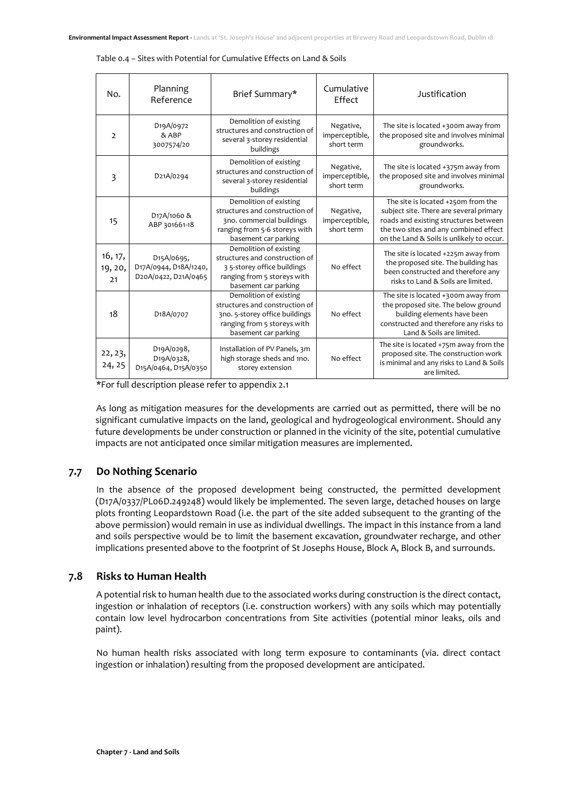| No.                      | Planning<br>Reference                                                    | Brief Summary*                                                                                                                                    | Cumulative<br>Effect                      | Justification                                                                                                                                                                                                |
|--------------------------|--------------------------------------------------------------------------|---------------------------------------------------------------------------------------------------------------------------------------------------|-------------------------------------------|--------------------------------------------------------------------------------------------------------------------------------------------------------------------------------------------------------------|
| $\overline{2}$           | D <sub>19</sub> A/0972<br>& ABP<br>3007574/20                            | Demolition of existing<br>structures and construction of<br>several 3-storey residential<br>buildings                                             | Negative,<br>imperceptible,<br>short term | The site is located +300m away from<br>the proposed site and involves minimal<br>groundworks.                                                                                                                |
| 3                        | D21A/0294                                                                | Demolition of existing<br>structures and construction of<br>several 3-storey residential<br>buildings                                             | Negative,<br>imperceptible,<br>short term | The site is located +375m away from<br>the proposed site and involves minimal<br>groundworks.                                                                                                                |
| 15                       | D <sub>17</sub> A/ <sub>1060</sub> &<br>ABP 301661-18                    | Demolition of existing<br>structures and construction of<br>3no. commercial buildings<br>ranging from 5-6 storeys with<br>basement car parking    | Negative,<br>imperceptible,<br>short term | The site is located +250m from the<br>subject site. There are several primary<br>roads and existing structures between<br>the two sites and any combined effect<br>on the Land & Soils is unlikely to occur. |
| 16, 17,<br>19, 20,<br>21 | D <sub>15</sub> A/0695,<br>D17A/0944, D18A/1240,<br>D20A/0422, D21A/0465 | Demolition of existing<br>structures and construction of<br>35-storey office buildings<br>ranging from 5 storeys with<br>basement car parking     | No effect                                 | The site is located +225m away from<br>the proposed site. The building has<br>been constructed and therefore any<br>risks to Land & Soils are limited.                                                       |
| 18                       | D <sub>1</sub> 8A/0707                                                   | Demolition of existing<br>structures and construction of<br>3no. 5-storey office buildings<br>ranging from 5 storeys with<br>basement car parking | No effect                                 | The site is located +300m away from<br>the proposed site. The below ground<br>building elements have been<br>constructed and therefore any risks to<br>Land & Soils are limited.                             |
| 22, 23,<br>24, 25        | D19A/0298,<br>D19A/0328,<br>D15A/0464, D15A/0350                         | Installation of PV Panels, 3m<br>high storage sheds and 1no.<br>storey extension                                                                  | No effect                                 | The site is located +75m away from the<br>proposed site. The construction work<br>is minimal and any risks to Land & Soils<br>are limited.                                                                   |

<span id="page-16-2"></span>Table 0.4 – Sites with Potential for Cumulative Effects on Land & Soils

\*For full description please refer to appendix 2.1

As long as mitigation measures for the developments are carried out as permitted, there will be no significant cumulative impacts on the land, geological and hydrogeological environment. Should any future developments be under construction or planned in the vicinity of the site, potential cumulative impacts are not anticipated once similar mitigation measures are implemented.

## <span id="page-16-0"></span>**7.7 Do Nothing Scenario**

In the absence of the proposed development being constructed, the permitted development (D17A/0337/PL06D.249248) would likely be implemented. The seven large, detached houses on large plots fronting Leopardstown Road (i.e. the part of the site added subsequent to the granting of the above permission) would remain in use as individual dwellings. The impact in this instance from a land and soils perspective would be to limit the basement excavation, groundwater recharge, and other implications presented above to the footprint of St Josephs House, Block A, Block B, and surrounds.

#### <span id="page-16-1"></span>**7.8 Risks to Human Health**

A potential risk to human health due to the associated works during construction is the direct contact, ingestion or inhalation of receptors (i.e. construction workers) with any soils which may potentially contain low level hydrocarbon concentrations from Site activities (potential minor leaks, oils and paint).

No human health risks associated with long term exposure to contaminants (via. direct contact ingestion or inhalation) resulting from the proposed development are anticipated.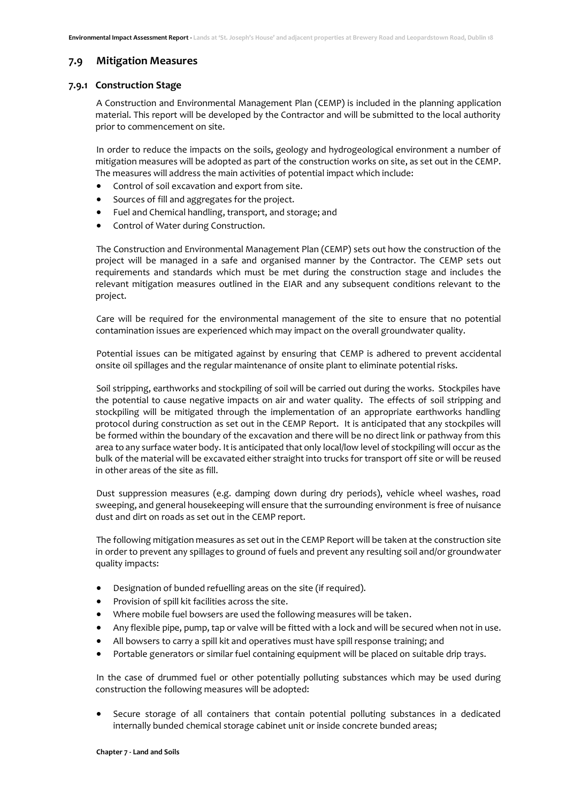#### <span id="page-17-0"></span>**7.9 Mitigation Measures**

#### **7.9.1 Construction Stage**

A Construction and Environmental Management Plan (CEMP) is included in the planning application material. This report will be developed by the Contractor and will be submitted to the local authority prior to commencement on site.

In order to reduce the impacts on the soils, geology and hydrogeological environment a number of mitigation measures will be adopted as part of the construction works on site, as set out in the CEMP. The measures will address the main activities of potential impact which include:

- Control of soil excavation and export from site.
- Sources of fill and aggregates for the project.
- Fuel and Chemical handling, transport, and storage; and
- Control of Water during Construction.

The Construction and Environmental Management Plan (CEMP) sets out how the construction of the project will be managed in a safe and organised manner by the Contractor. The CEMP sets out requirements and standards which must be met during the construction stage and includes the relevant mitigation measures outlined in the EIAR and any subsequent conditions relevant to the project.

Care will be required for the environmental management of the site to ensure that no potential contamination issues are experienced which may impact on the overall groundwater quality.

Potential issues can be mitigated against by ensuring that CEMP is adhered to prevent accidental onsite oil spillages and the regular maintenance of onsite plant to eliminate potential risks.

Soil stripping, earthworks and stockpiling of soil will be carried out during the works. Stockpiles have the potential to cause negative impacts on air and water quality. The effects of soil stripping and stockpiling will be mitigated through the implementation of an appropriate earthworks handling protocol during construction as set out in the CEMP Report. It is anticipated that any stockpiles will be formed within the boundary of the excavation and there will be no direct link or pathway from this area to any surface water body. It is anticipated that only local/low level of stockpiling will occur as the bulk of the material will be excavated either straight into trucks for transport off site or will be reused in other areas of the site as fill.

Dust suppression measures (e.g. damping down during dry periods), vehicle wheel washes, road sweeping, and general housekeeping will ensure that the surrounding environment is free of nuisance dust and dirt on roads as set out in the CEMP report.

The following mitigation measures as set out in the CEMP Report will be taken at the construction site in order to prevent any spillages to ground of fuels and prevent any resulting soil and/or groundwater quality impacts:

- Designation of bunded refuelling areas on the site (if required).
- Provision of spill kit facilities across the site.
- Where mobile fuel bowsers are used the following measures will be taken.
- Any flexible pipe, pump, tap or valve will be fitted with a lock and will be secured when not in use.
- All bowsers to carry a spill kit and operatives must have spill response training; and
- Portable generators or similar fuel containing equipment will be placed on suitable drip trays.

In the case of drummed fuel or other potentially polluting substances which may be used during construction the following measures will be adopted:

• Secure storage of all containers that contain potential polluting substances in a dedicated internally bunded chemical storage cabinet unit or inside concrete bunded areas;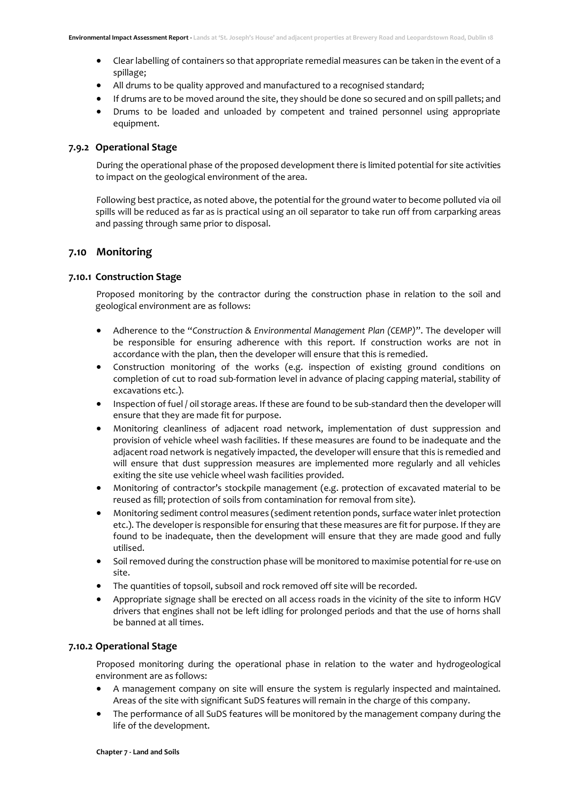- Clear labelling of containers so that appropriate remedial measures can be taken in the event of a spillage;
- All drums to be quality approved and manufactured to a recognised standard;
- If drums are to be moved around the site, they should be done so secured and on spill pallets; and
- Drums to be loaded and unloaded by competent and trained personnel using appropriate equipment.

#### **7.9.2 Operational Stage**

During the operational phase of the proposed development there is limited potential for site activities to impact on the geological environment of the area.

Following best practice, as noted above, the potential for the ground water to become polluted via oil spills will be reduced as far as is practical using an oil separator to take run off from carparking areas and passing through same prior to disposal.

## <span id="page-18-0"></span>**7.10 Monitoring**

#### **7.10.1 Construction Stage**

Proposed monitoring by the contractor during the construction phase in relation to the soil and geological environment are as follows:

- Adherence to the "*Construction & Environmental Management Plan (CEMP)*". The developer will be responsible for ensuring adherence with this report. If construction works are not in accordance with the plan, then the developer will ensure that this is remedied.
- Construction monitoring of the works (e.g. inspection of existing ground conditions on completion of cut to road sub-formation level in advance of placing capping material, stability of excavations etc.).
- Inspection of fuel / oil storage areas. If these are found to be sub-standard then the developer will ensure that they are made fit for purpose.
- Monitoring cleanliness of adjacent road network, implementation of dust suppression and provision of vehicle wheel wash facilities. If these measures are found to be inadequate and the adjacent road network is negatively impacted, the developer will ensure that this is remedied and will ensure that dust suppression measures are implemented more regularly and all vehicles exiting the site use vehicle wheel wash facilities provided.
- Monitoring of contractor's stockpile management (e.g. protection of excavated material to be reused as fill; protection of soils from contamination for removal from site).
- Monitoring sediment control measures (sediment retention ponds, surface water inlet protection etc.). The developer is responsible for ensuring that these measures are fit for purpose. If they are found to be inadequate, then the development will ensure that they are made good and fully utilised.
- Soil removed during the construction phase will be monitored to maximise potential for re-use on site.
- The quantities of topsoil, subsoil and rock removed off site will be recorded.
- Appropriate signage shall be erected on all access roads in the vicinity of the site to inform HGV drivers that engines shall not be left idling for prolonged periods and that the use of horns shall be banned at all times.

#### **7.10.2 Operational Stage**

Proposed monitoring during the operational phase in relation to the water and hydrogeological environment are as follows:

- A management company on site will ensure the system is regularly inspected and maintained. Areas of the site with significant SuDS features will remain in the charge of this company.
- The performance of all SuDS features will be monitored by the management company during the life of the development.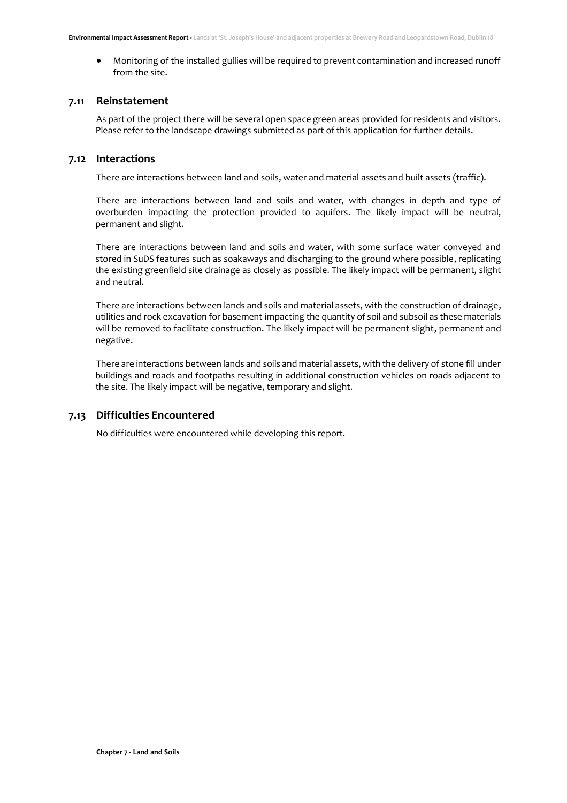• Monitoring of the installed gullies will be required to prevent contamination and increased runoff from the site.

#### <span id="page-19-0"></span>**7.11 Reinstatement**

As part of the project there will be several open space green areas provided for residents and visitors. Please refer to the landscape drawings submitted as part of this application for further details.

## <span id="page-19-1"></span>**7.12 Interactions**

There are interactions between land and soils, water and material assets and built assets (traffic).

There are interactions between land and soils and water, with changes in depth and type of overburden impacting the protection provided to aquifers. The likely impact will be neutral, permanent and slight.

There are interactions between land and soils and water, with some surface water conveyed and stored in SuDS features such as soakaways and discharging to the ground where possible, replicating the existing greenfield site drainage as closely as possible. The likely impact will be permanent, slight and neutral.

There are interactions between lands and soils and material assets, with the construction of drainage, utilities and rock excavation for basement impacting the quantity of soil and subsoil as these materials will be removed to facilitate construction. The likely impact will be permanent slight, permanent and negative.

There are interactions between lands and soils and material assets, with the delivery of stone fill under buildings and roads and footpaths resulting in additional construction vehicles on roads adjacent to the site. The likely impact will be negative, temporary and slight.

## <span id="page-19-2"></span>**7.13 Difficulties Encountered**

No difficulties were encountered while developing this report.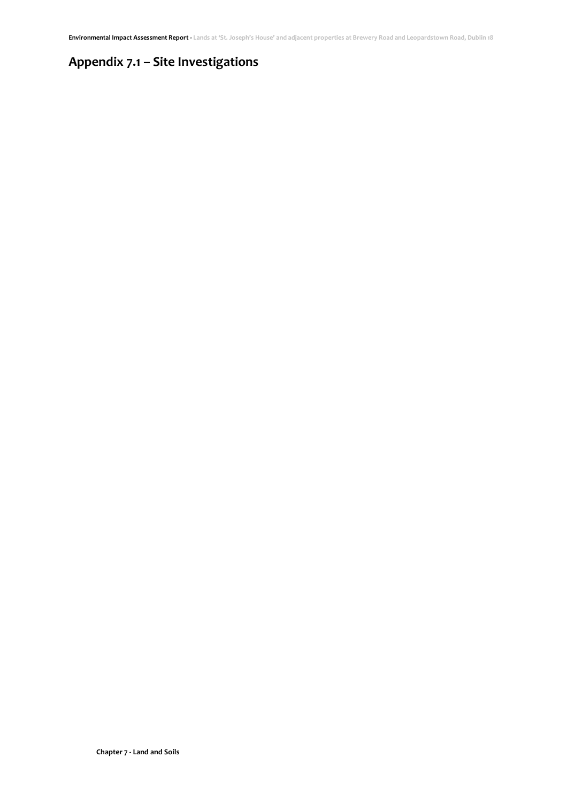# <span id="page-20-0"></span>**Appendix 7.1 – Site Investigations**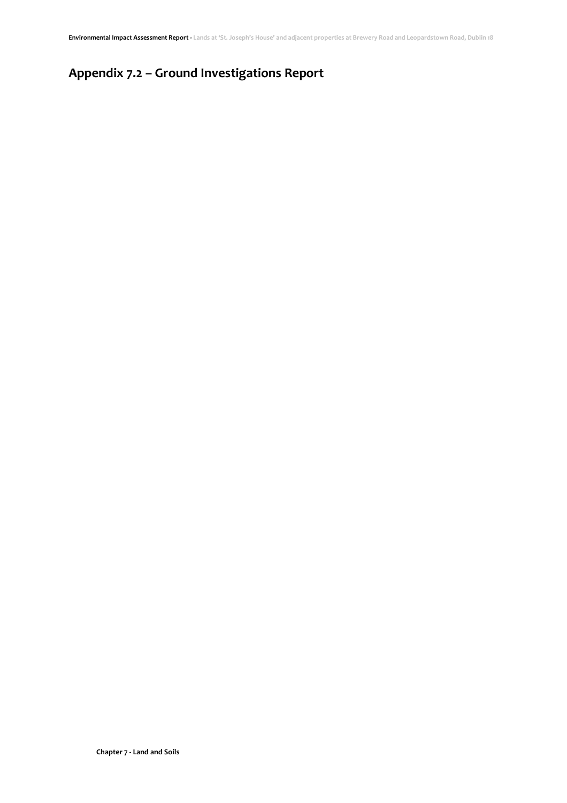# <span id="page-21-0"></span>**Appendix 7.2 – Ground Investigations Report**